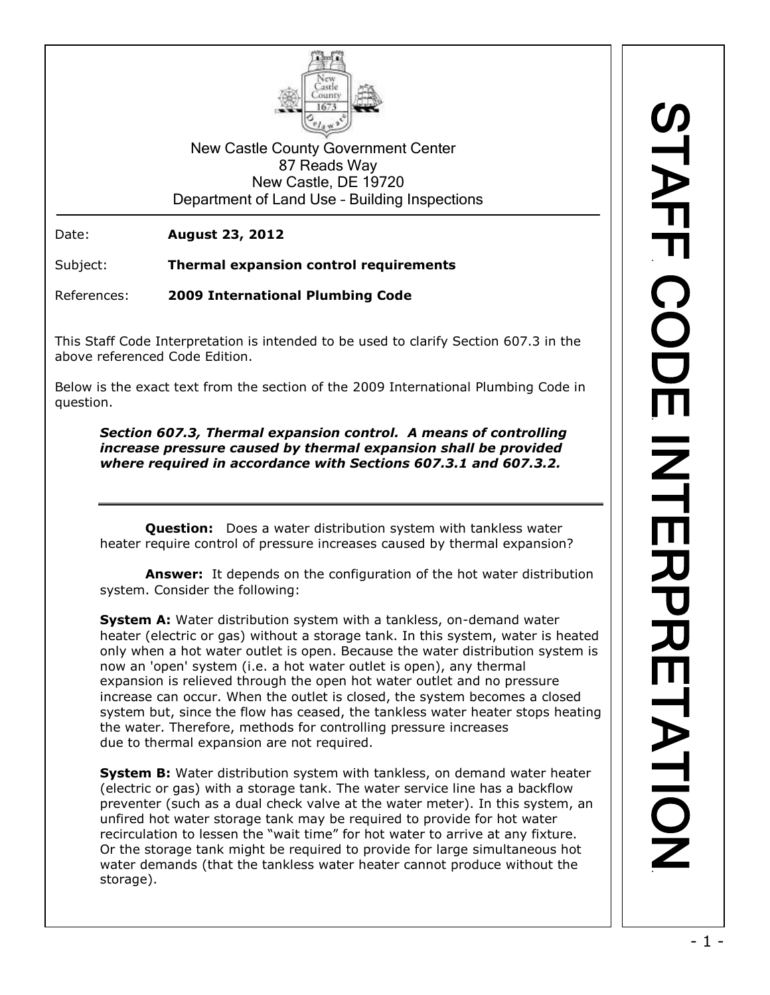

New Castle County Government Center 87 Reads Way New Castle, DE 19720 Department of Land Use – Building Inspections

Date: **August 23, 2012**

Subject: **Thermal expansion control requirements**

References: **2009 International Plumbing Code**

This Staff Code Interpretation is intended to be used to clarify Section 607.3 in the above referenced Code Edition.

Below is the exact text from the section of the 2009 International Plumbing Code in question.

*Section 607.3, Thermal expansion control. A means of controlling increase pressure caused by thermal expansion shall be provided where required in accordance with Sections 607.3.1 and 607.3.2.*

**Question:** Does a water distribution system with tankless water heater require control of pressure increases caused by thermal expansion?

**Answer:** It depends on the configuration of the hot water distribution system. Consider the following:

**System A:** Water distribution system with a tankless, on-demand water heater (electric or gas) without a storage tank. In this system, water is heated only when a hot water outlet is open. Because the water distribution system is now an 'open' system (i.e. a hot water outlet is open), any thermal expansion is relieved through the open hot water outlet and no pressure increase can occur. When the outlet is closed, the system becomes a closed system but, since the flow has ceased, the tankless water heater stops heating the water. Therefore, methods for controlling pressure increases due to thermal expansion are not required.

**System B:** Water distribution system with tankless, on demand water heater (electric or gas) with a storage tank. The water service line has a backflow preventer (such as a dual check valve at the water meter). In this system, an unfired hot water storage tank may be required to provide for hot water recirculation to lessen the "wait time" for hot water to arrive at any fixture. Or the storage tank might be required to provide for large simultaneous hot water demands (that the tankless water heater cannot produce without the storage).